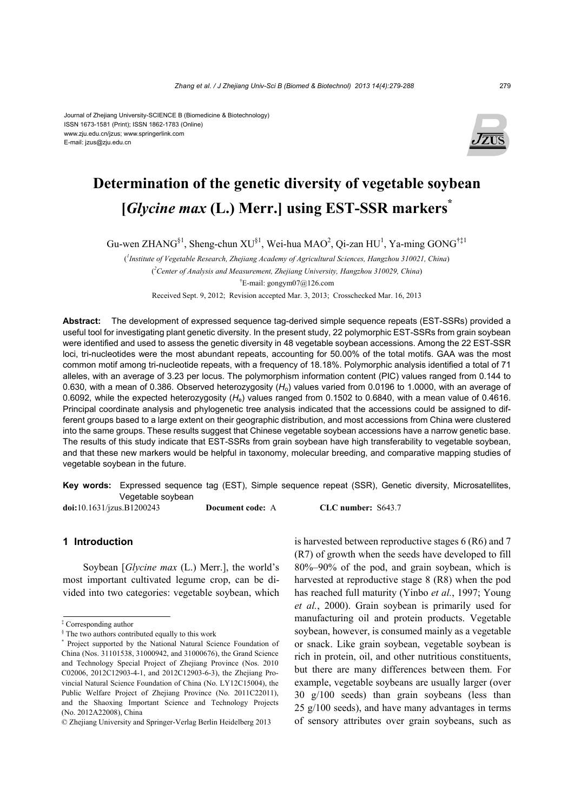#### Journal of Zhejiang University-SCIENCE B (Biomedicine & Biotechnology) ISSN 1673-1581 (Print); ISSN 1862-1783 (Online) www.zju.edu.cn/jzus; www.springerlink.com E-mail: jzus@zju.edu.cn



# **Determination of the genetic diversity of vegetable soybean [***Glycine max* **(L.) Merr.] using EST-SSR markers\***

Gu-wen ZHANG<sup>§1</sup>, Sheng-chun XU<sup>§1</sup>, Wei-hua MAO<sup>2</sup>, Qi-zan HU<sup>1</sup>, Ya-ming GONG<sup>†‡1</sup>

( *1 Institute of Vegetable Research, Zhejiang Academy of Agricultural Sciences, Hangzhou 310021, China*) ( *2 Center of Analysis and Measurement, Zhejiang University, Hangzhou 310029, China*) † E-mail: gongym07@126.com

Received Sept. 9, 2012; Revision accepted Mar. 3, 2013; Crosschecked Mar. 16, 2013

**Abstract:** The development of expressed sequence tag-derived simple sequence repeats (EST-SSRs) provided a useful tool for investigating plant genetic diversity. In the present study, 22 polymorphic EST-SSRs from grain soybean were identified and used to assess the genetic diversity in 48 vegetable soybean accessions. Among the 22 EST-SSR loci, tri-nucleotides were the most abundant repeats, accounting for 50.00% of the total motifs. GAA was the most common motif among tri-nucleotide repeats, with a frequency of 18.18%. Polymorphic analysis identified a total of 71 alleles, with an average of 3.23 per locus. The polymorphism information content (PIC) values ranged from 0.144 to 0.630, with a mean of 0.386. Observed heterozygosity (*H*o) values varied from 0.0196 to 1.0000, with an average of 0.6092, while the expected heterozygosity (*H*e) values ranged from 0.1502 to 0.6840, with a mean value of 0.4616. Principal coordinate analysis and phylogenetic tree analysis indicated that the accessions could be assigned to different groups based to a large extent on their geographic distribution, and most accessions from China were clustered into the same groups. These results suggest that Chinese vegetable soybean accessions have a narrow genetic base. The results of this study indicate that EST-SSRs from grain soybean have high transferability to vegetable soybean, and that these new markers would be helpful in taxonomy, molecular breeding, and comparative mapping studies of vegetable soybean in the future.

**Key words:** Expressed sequence tag (EST), Simple sequence repeat (SSR), Genetic diversity, Microsatellites, Vegetable soybean

**doi:**10.1631/jzus.B1200243 **Document code:** A **CLC number:** S643.7

# **1 Introduction**

Soybean [*Glycine max* (L.) Merr.], the world's most important cultivated legume crop, can be divided into two categories: vegetable soybean, which

is harvested between reproductive stages 6 (R6) and 7 (R7) of growth when the seeds have developed to fill 80%‒90% of the pod, and grain soybean, which is harvested at reproductive stage 8 (R8) when the pod has reached full maturity (Yinbo *et al.*, 1997; Young *et al.*, 2000). Grain soybean is primarily used for manufacturing oil and protein products. Vegetable soybean, however, is consumed mainly as a vegetable or snack. Like grain soybean, vegetable soybean is rich in protein, oil, and other nutritious constituents, but there are many differences between them. For example, vegetable soybeans are usually larger (over 30 g/100 seeds) than grain soybeans (less than 25 g/100 seeds), and have many advantages in terms of sensory attributes over grain soybeans, such as

<sup>‡</sup> Corresponding author

<sup>§</sup> The two authors contributed equally to this work

<sup>\*</sup> Project supported by the National Natural Science Foundation of China (Nos. 31101538, 31000942, and 31000676), the Grand Science and Technology Special Project of Zhejiang Province (Nos. 2010 C02006, 2012C12903-4-1, and 2012C12903-6-3), the Zhejiang Provincial Natural Science Foundation of China (No. LY12C15004), the Public Welfare Project of Zhejiang Province (No. 2011C22011), and the Shaoxing Important Science and Technology Projects (No. 2012A22008), China

<sup>©</sup> Zhejiang University and Springer-Verlag Berlin Heidelberg 2013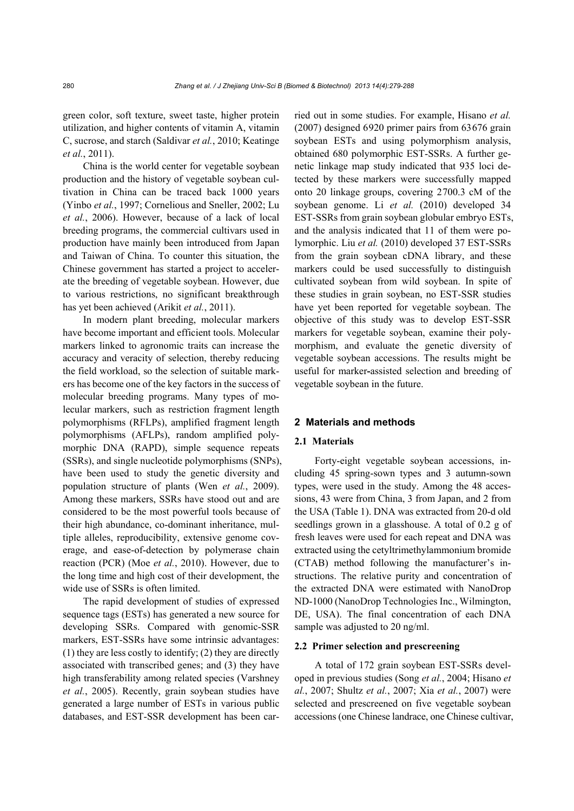green color, soft texture, sweet taste, higher protein utilization, and higher contents of vitamin A, vitamin C, sucrose, and starch (Saldivar *et al.*, 2010; Keatinge *et al.*, 2011).

China is the world center for vegetable soybean production and the history of vegetable soybean cultivation in China can be traced back 1000 years (Yinbo *et al.*, 1997; Cornelious and Sneller, 2002; Lu *et al.*, 2006). However, because of a lack of local breeding programs, the commercial cultivars used in production have mainly been introduced from Japan and Taiwan of China. To counter this situation, the Chinese government has started a project to accelerate the breeding of vegetable soybean. However, due to various restrictions, no significant breakthrough has yet been achieved (Arikit *et al.*, 2011).

In modern plant breeding, molecular markers have become important and efficient tools. Molecular markers linked to agronomic traits can increase the accuracy and veracity of selection, thereby reducing the field workload, so the selection of suitable markers has become one of the key factors in the success of molecular breeding programs. Many types of molecular markers, such as restriction fragment length polymorphisms (RFLPs), amplified fragment length polymorphisms (AFLPs), random amplified polymorphic DNA (RAPD), simple sequence repeats (SSRs), and single nucleotide polymorphisms (SNPs), have been used to study the genetic diversity and population structure of plants (Wen *et al.*, 2009). Among these markers, SSRs have stood out and are considered to be the most powerful tools because of their high abundance, co-dominant inheritance, multiple alleles, reproducibility, extensive genome coverage, and ease-of-detection by polymerase chain reaction (PCR) (Moe *et al.*, 2010). However, due to the long time and high cost of their development, the wide use of SSRs is often limited.

The rapid development of studies of expressed sequence tags (ESTs) has generated a new source for developing SSRs. Compared with genomic-SSR markers, EST-SSRs have some intrinsic advantages: (1) they are less costly to identify; (2) they are directly associated with transcribed genes; and (3) they have high transferability among related species (Varshney *et al.*, 2005). Recently, grain soybean studies have generated a large number of ESTs in various public databases, and EST-SSR development has been carried out in some studies. For example, Hisano *et al.* (2007) designed 6920 primer pairs from 63676 grain soybean ESTs and using polymorphism analysis, obtained 680 polymorphic EST-SSRs. A further genetic linkage map study indicated that 935 loci detected by these markers were successfully mapped onto 20 linkage groups, covering 2700.3 cM of the soybean genome. Li *et al.* (2010) developed 34 EST-SSRs from grain soybean globular embryo ESTs, and the analysis indicated that 11 of them were polymorphic. Liu *et al.* (2010) developed 37 EST-SSRs from the grain soybean cDNA library, and these markers could be used successfully to distinguish cultivated soybean from wild soybean. In spite of these studies in grain soybean, no EST-SSR studies have yet been reported for vegetable soybean. The objective of this study was to develop EST-SSR markers for vegetable soybean, examine their polymorphism, and evaluate the genetic diversity of vegetable soybean accessions. The results might be useful for marker**-**assisted selection and breeding of vegetable soybean in the future.

## **2 Materials and methods**

#### **2.1 Materials**

Forty-eight vegetable soybean accessions, including 45 spring-sown types and 3 autumn-sown types, were used in the study. Among the 48 accessions, 43 were from China, 3 from Japan, and 2 from the USA (Table 1). DNA was extracted from 20-d old seedlings grown in a glasshouse. A total of 0.2 g of fresh leaves were used for each repeat and DNA was extracted using the cetyltrimethylammonium bromide (CTAB) method following the manufacturer's instructions. The relative purity and concentration of the extracted DNA were estimated with NanoDrop ND-1000 (NanoDrop Technologies Inc., Wilmington, DE, USA). The final concentration of each DNA sample was adjusted to 20 ng/ml.

#### **2.2 Primer selection and prescreening**

A total of 172 grain soybean EST-SSRs developed in previous studies (Song *et al.*, 2004; Hisano *et al.*, 2007; Shultz *et al.*, 2007; Xia *et al.*, 2007) were selected and prescreened on five vegetable soybean accessions (one Chinese landrace, one Chinese cultivar,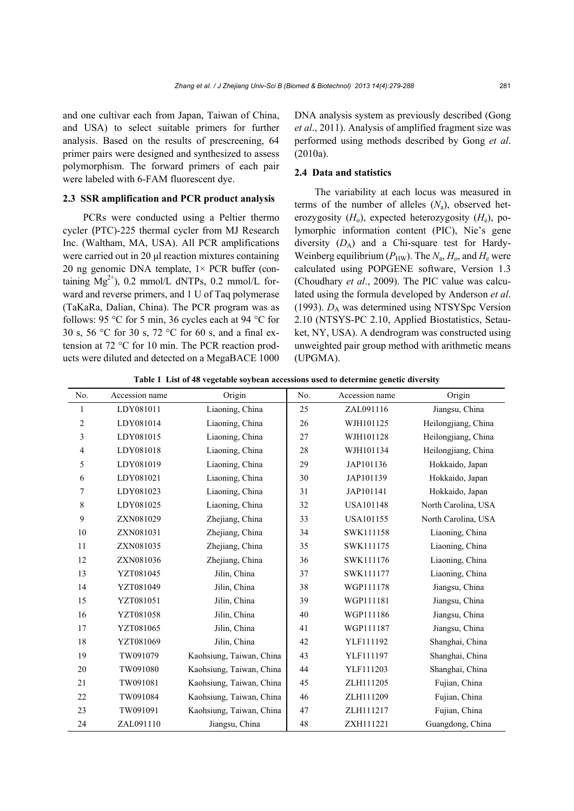and one cultivar each from Japan, Taiwan of China, and USA) to select suitable primers for further analysis. Based on the results of prescreening, 64 primer pairs were designed and synthesized to assess polymorphism. The forward primers of each pair were labeled with 6-FAM fluorescent dye.

# **2.3 SSR amplification and PCR product analysis**

PCRs were conducted using a Peltier thermo cycler (PTC)-225 thermal cycler from MJ Research Inc. (Waltham, MA, USA). All PCR amplifications were carried out in 20 μl reaction mixtures containing 20 ng genomic DNA template,  $1 \times PCR$  buffer (containing  $Mg^{2+}$ ), 0.2 mmol/L dNTPs, 0.2 mmol/L forward and reverse primers, and 1 U of Taq polymerase (TaKaRa, Dalian, China). The PCR program was as follows: 95 °C for 5 min, 36 cycles each at 94 °C for 30 s, 56 °C for 30 s, 72 °C for 60 s, and a final extension at 72 °C for 10 min. The PCR reaction products were diluted and detected on a MegaBACE 1000

DNA analysis system as previously described (Gong *et al*., 2011). Analysis of amplified fragment size was performed using methods described by Gong *et al*. (2010a).

## **2.4 Data and statistics**

The variability at each locus was measured in terms of the number of alleles  $(N_a)$ , observed heterozygosity  $(H_0)$ , expected heterozygosity  $(H_e)$ , polymorphic information content (PIC), Nie's gene diversity  $(D_A)$  and a Chi-square test for Hardy-Weinberg equilibrium ( $P_{HW}$ ). The  $N_a$ ,  $H_0$ , and  $H_e$  were calculated using POPGENE software, Version 1.3 (Choudhary *et al*., 2009). The PIC value was calculated using the formula developed by Anderson *et al*. (1993).  $D_A$  was determined using NTSYSpc Version 2.10 (NTSYS-PC 2.10, Applied Biostatistics, Setauket, NY, USA). A dendrogram was constructed using unweighted pair group method with arithmetic means (UPGMA).

| No.            | Accession name | Origin                   | No. | Accession name   | Origin              |
|----------------|----------------|--------------------------|-----|------------------|---------------------|
| $\mathbf{1}$   | LDY081011      | Liaoning, China          | 25  | ZAL091116        | Jiangsu, China      |
| $\sqrt{2}$     | LDY081014      | Liaoning, China          | 26  | WJH101125        | Heilongjiang, China |
| $\overline{3}$ | LDY081015      | Liaoning, China          | 27  | WJH101128        | Heilongjiang, China |
| $\overline{4}$ | LDY081018      | Liaoning, China          | 28  | WJH101134        | Heilongjiang, China |
| 5              | LDY081019      | Liaoning, China          | 29  | JAP101136        | Hokkaido, Japan     |
| 6              | LDY081021      | Liaoning, China          | 30  | JAP101139        | Hokkaido, Japan     |
| 7              | LDY081023      | Liaoning, China          | 31  | JAP101141        | Hokkaido, Japan     |
| $\,8\,$        | LDY081025      | Liaoning, China          | 32  | <b>USA101148</b> | North Carolina, USA |
| 9              | ZXN081029      | Zhejiang, China          | 33  | <b>USA101155</b> | North Carolina, USA |
| 10             | ZXN081031      | Zhejiang, China          | 34  | SWK111158        | Liaoning, China     |
| 11             | ZXN081035      | Zhejiang, China          | 35  | SWK111175        | Liaoning, China     |
| 12             | ZXN081036      | Zhejiang, China          | 36  | SWK111176        | Liaoning, China     |
| 13             | YZT081045      | Jilin, China             | 37  | SWK111177        | Liaoning, China     |
| 14             | YZT081049      | Jilin, China             | 38  | WGP111178        | Jiangsu, China      |
| 15             | YZT081051      | Jilin, China             | 39  | WGP111181        | Jiangsu, China      |
| 16             | YZT081058      | Jilin, China             | 40  | WGP111186        | Jiangsu, China      |
| 17             | YZT081065      | Jilin, China             | 41  | WGP111187        | Jiangsu, China      |
| 18             | YZT081069      | Jilin, China             | 42  | YLF111192        | Shanghai, China     |
| 19             | TW091079       | Kaohsiung, Taiwan, China | 43  | YLF111197        | Shanghai, China     |
| 20             | TW091080       | Kaohsiung, Taiwan, China | 44  | YLF111203        | Shanghai, China     |
| 21             | TW091081       | Kaohsiung, Taiwan, China | 45  | ZLH111205        | Fujian, China       |
| 22             | TW091084       | Kaohsiung, Taiwan, China | 46  | ZLH111209        | Fujian, China       |
| 23             | TW091091       | Kaohsiung, Taiwan, China | 47  | ZLH111217        | Fujian, China       |
| 24             | ZAL091110      | Jiangsu, China           | 48  | ZXH111221        | Guangdong, China    |

**Table 1 List of 48 vegetable soybean accessions used to determine genetic diversity**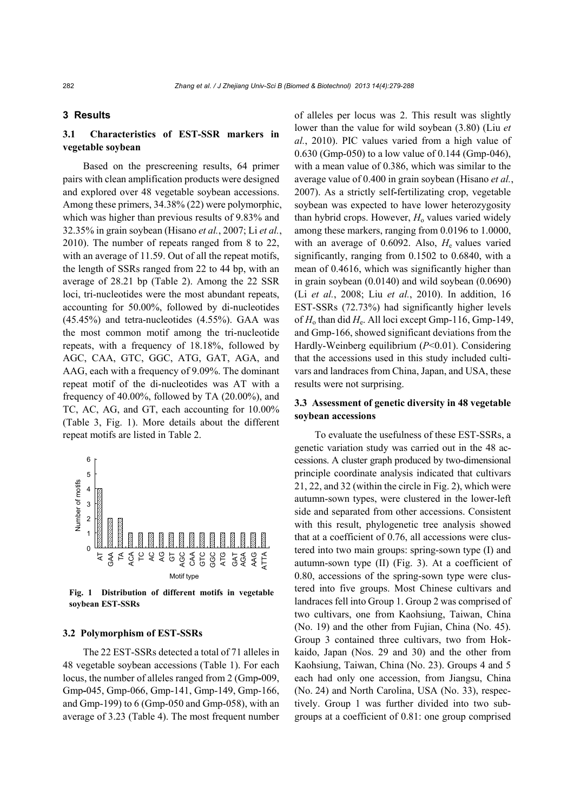#### **3 Results**

# **3.1 Characteristics of EST-SSR markers in vegetable soybean**

Based on the prescreening results, 64 primer pairs with clean amplification products were designed and explored over 48 vegetable soybean accessions. Among these primers, 34.38% (22) were polymorphic, which was higher than previous results of 9.83% and 32.35% in grain soybean (Hisano *et al.*, 2007; Li *et al.*, 2010). The number of repeats ranged from 8 to 22, with an average of 11.59. Out of all the repeat motifs, the length of SSRs ranged from 22 to 44 bp, with an average of 28.21 bp (Table 2). Among the 22 SSR loci, tri-nucleotides were the most abundant repeats, accounting for 50.00%, followed by di-nucleotides (45.45%) and tetra-nucleotides (4.55%). GAA was the most common motif among the tri-nucleotide repeats, with a frequency of 18.18%, followed by AGC, CAA, GTC, GGC, ATG, GAT, AGA, and AAG, each with a frequency of 9.09%. The dominant repeat motif of the di-nucleotides was AT with a frequency of 40.00%, followed by TA (20.00%), and TC, AC, AG, and GT, each accounting for 10.00% (Table 3, Fig. 1). More details about the different repeat motifs are listed in Table 2.



**Fig. 1 Distribution of different motifs in vegetable soybean EST-SSRs**

#### **3.2 Polymorphism of EST-SSRs**

The 22 EST-SSRs detected a total of 71 alleles in 48 vegetable soybean accessions (Table 1). For each locus, the number of alleles ranged from 2 (Gmp**-**009, Gmp**-**045, Gmp-066, Gmp-141, Gmp-149, Gmp-166, and Gmp-199) to 6 (Gmp-050 and Gmp-058), with an average of 3.23 (Table 4). The most frequent number of alleles per locus was 2. This result was slightly lower than the value for wild soybean (3.80) (Liu *et al.*, 2010). PIC values varied from a high value of 0.630 (Gmp-050) to a low value of 0.144 (Gmp-046), with a mean value of 0.386, which was similar to the average value of 0.400 in grain soybean (Hisano *et al.*, 2007). As a strictly self**-**fertilizating crop, vegetable soybean was expected to have lower heterozygosity than hybrid crops. However,  $H_0$  values varied widely among these markers, ranging from 0.0196 to 1.0000, with an average of 0.6092. Also, *H*e values varied significantly, ranging from 0.1502 to 0.6840, with a mean of 0.4616, which was significantly higher than in grain soybean (0.0140) and wild soybean (0.0690) (Li *et al.*, 2008; Liu *et al.*, 2010). In addition, 16 EST-SSRs (72.73%) had significantly higher levels of *H*o than did *H*e. All loci except Gmp-116, Gmp-149, and Gmp-166, showed significant deviations from the Hardly-Weinberg equilibrium (*P*<0.01). Considering that the accessions used in this study included cultivars and landraces from China, Japan, and USA, these results were not surprising.

## **3.3 Assessment of genetic diversity in 48 vegetable soybean accessions**

To evaluate the usefulness of these EST-SSRs, a genetic variation study was carried out in the 48 accessions. A cluster graph produced by two-dimensional principle coordinate analysis indicated that cultivars 21, 22, and 32 (within the circle in Fig. 2), which were autumn-sown types, were clustered in the lower-left side and separated from other accessions. Consistent with this result, phylogenetic tree analysis showed that at a coefficient of 0.76, all accessions were clustered into two main groups: spring-sown type (I) and autumn-sown type (II) (Fig. 3). At a coefficient of 0.80, accessions of the spring-sown type were clustered into five groups. Most Chinese cultivars and landraces fell into Group 1. Group 2 was comprised of two cultivars, one from Kaohsiung, Taiwan, China (No. 19) and the other from Fujian, China (No. 45). Group 3 contained three cultivars, two from Hokkaido, Japan (Nos. 29 and 30) and the other from Kaohsiung, Taiwan, China (No. 23). Groups 4 and 5 each had only one accession, from Jiangsu, China (No. 24) and North Carolina, USA (No. 33), respectively. Group 1 was further divided into two subgroups at a coefficient of 0.81: one group comprised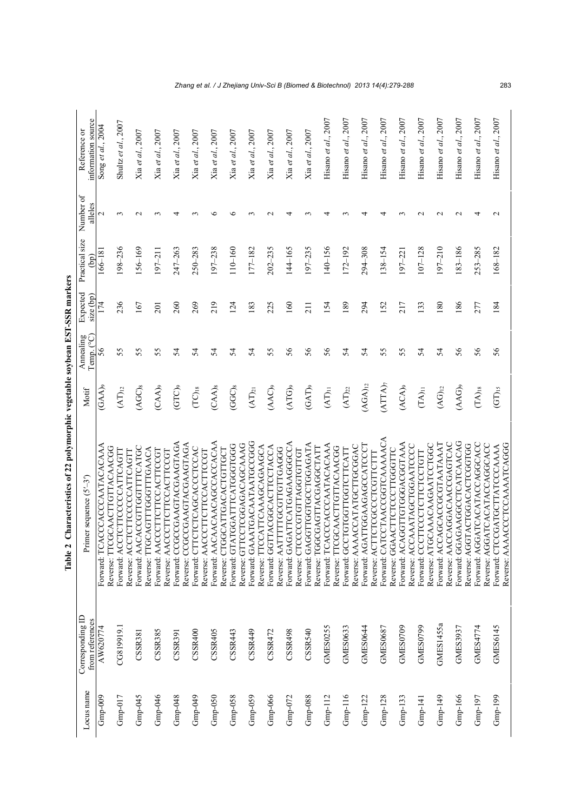| ֚֚֚֬<br>ma a ve                                                               |
|-------------------------------------------------------------------------------|
| <b>TOP CCF</b>                                                                |
|                                                                               |
| $\frac{1}{2}$ , $\frac{1}{2}$ , $\frac{1}{2}$ , $\frac{1}{2}$ , $\frac{1}{2}$ |
| is a case of the control<br>$\ddot{\phantom{0}}$                              |
| D                                                                             |
| í.                                                                            |
| í                                                                             |
| $\frac{1}{2}$                                                                 |
|                                                                               |
| Į                                                                             |
| l<br>j<br>j                                                                   |
| Tahle 1                                                                       |

|            |                                              | $\frac{1}{2}$ and $\frac{1}{2}$ and $\frac{1}{2}$ and $\frac{1}{2}$ and $\frac{1}{2}$ both models of $\frac{1}{2}$ and $\frac{1}{2}$ and $\frac{1}{2}$ and $\frac{1}{2}$ and $\frac{1}{2}$ and $\frac{1}{2}$ and $\frac{1}{2}$ and $\frac{1}{2}$ and $\frac{1}{2}$ and $\frac{1}{2}$ and |                                   |                        |                       |                                |                      |                                    |
|------------|----------------------------------------------|------------------------------------------------------------------------------------------------------------------------------------------------------------------------------------------------------------------------------------------------------------------------------------------|-----------------------------------|------------------------|-----------------------|--------------------------------|----------------------|------------------------------------|
| Locus name | $\text{Corresponding}$ ID<br>from references | Primer sequence $(5'-3)$                                                                                                                                                                                                                                                                 | Motif                             | Amealing<br>Temp. (°C) | Expected<br>size (bp) | Practical size<br>$\left($ bp) | Number of<br>alleles | information source<br>Reference or |
| $Gmp-009$  | AW620774                                     | Forward: TCACCCACCCAATACACAAA<br>Reverse: TTCGCAACTTGTTACAACGG                                                                                                                                                                                                                           | (AA)                              | 56                     | 174                   | $166 - 181$                    | $\mathbf{C}$         | Song et al., 2004                  |
| Gmp-017    | CG819919.1                                   | Forward: ACCTCTTCCCCCATTCAGTI<br>Reverse: ACCTCTTCCCCCATTCAGT1                                                                                                                                                                                                                           | $\rm{(AT)_{12}}$                  | 55                     | 236                   | $198 - 236$                    | $\sim$               | Shultz et al., 2007                |
| Gmp-045    | CSSR381                                      | Forward: AACACCGTTGGTTTCATGC<br>AGTTTGGTTTGAACA<br>Reverse: TTGC                                                                                                                                                                                                                         | (AGC) <sub>8</sub>                | 55                     | 167                   | $156 - 169$                    |                      | Xia et al., 2007                   |
| Gmp-046    | CSSR385                                      | Forward: AACCCTTCTTCCACTTCCGT<br>Reverse: AACCCTTCTTCCACTTCCGT                                                                                                                                                                                                                           | (CAA)                             | 55                     | 201                   | $197 - 211$                    |                      | Xia et al., 2007                   |
| $Gmp-048$  | CSSR391                                      | Forward: CCGCCGAAGTACGAAGTAGA<br>Reverse: CCGCCGAAGTACGAAGTAGA                                                                                                                                                                                                                           | (GTC)                             | 54                     | 260                   | 247–263                        |                      | Xia et al., 2007                   |
| $Gmp-049$  | CSSR400                                      | Forward: CTTCTCTCAGCACCCTCCAC<br>Reverse: AACCCTTCTTCCACTTCCGT                                                                                                                                                                                                                           | $\rm (TC)_{\rm 18}$               | 54                     | 269                   | 250-283                        |                      | Xia et al., 2007                   |
| Gmp-050    | CSSR405                                      | Forward: AACAACAACAGCCACCACAA<br>Reverse: CTGGCATTGACACTGTTGCT                                                                                                                                                                                                                           | $(CAA)$ <sub>8</sub>              | 54                     | 219                   | 197-238                        |                      | Xia et al., 2007                   |
| Gmp-058    | CSSR443                                      | Reverse: GTTCCTCGGAGACAGCAAAG<br>Forward: GTATGGATTTCATGGGTGGG                                                                                                                                                                                                                           | $(GGC)_{\!\scriptscriptstyle 8}$  | 54                     | 124                   | $110 - 160$                    |                      | Xia et al., 2007                   |
| Gmp-059    | CSSR449                                      | Forward: GAAATGACAATAATGCCGGG<br>ATTCAAAGCAGAAGCA<br>Reverse: TTCC                                                                                                                                                                                                                       | $\left( \mathrm{AT}\right) _{21}$ | 54                     | 183                   | $177 - 182$                    |                      | Xia et al., 2007                   |
| Gmp-066    | CSSR472                                      | Forward: GGTTACGGCACTTCCTACCA<br>Reverse: AATTTTGCGTTGTTGAGGG                                                                                                                                                                                                                            | (AAC)                             | 55                     | 225                   | $202 - 235$                    |                      | Xia et al., 2007                   |
| Gmp-072    | CSSR498                                      | Forward: GAGATTCATGAGAAGGCCA<br>CCGTGTTAGGTGTTGT<br>Reverse: CTCC                                                                                                                                                                                                                        | $(ATG)_9$                         | 56                     | 160                   | $144 - 165$                    |                      | Xia et al., 2007                   |
| Gmp-088    | CSSR540                                      | Forward: GAGGTTGGTGCCTGGAGATA<br>Reverse: TGGCGAGTTACGAGGCTATT                                                                                                                                                                                                                           | $\rm (GAT)_9$                     | 56                     | 211                   | $197 - 235$                    |                      | Xia et al., 2007                   |
| Gmp-112    | GMES0255                                     | Forward: TCACCCACCCAATACACAAA<br>Reverse: TTCGCAACTTGTTACAACGG                                                                                                                                                                                                                           | $\left( \mathrm{AT} \right)_{11}$ | 56                     | 154                   | $140 - 156$                    |                      | Hisano et al., 2007                |
| $Gmp-116$  | GMES0633                                     | Reverse: AAAACCATATGCTTGCGGAC<br>Forward: GCCTGTGGTTGGTCTTCATT                                                                                                                                                                                                                           | $\rm{(AT)_{22}}$                  | 54                     | 189                   | $172 - 192$                    |                      | Hisano et al., 2007                |
| Gmp-122    | GMES0644                                     | Forward: AGATTGGAAGAGCCATCCCT<br>Reverse: ACTTCTCGCCCTCGTTCTT1                                                                                                                                                                                                                           | $(AGA)_{12}$                      | 54                     | 294                   | $294 - 308$                    |                      | Hisano et al., $2007$              |
| Gmp-128    | <b>GMES0687</b>                              | Forward: CATCCTAACCGGTCAAAAACA<br>Reverse: GGAACTTCTCCCTTGGGTTC                                                                                                                                                                                                                          | $\left( \mathrm{ATTA}\right)$     | 55                     | 152                   | $138 - 154$                    |                      | Hisano et al., $2007$              |
| Gmp-133    | GMES0709                                     | Forward: ACAGGTTGTGGGACGGTAAA<br>Reverse: ACCAAATAGCTGGAATCCCC                                                                                                                                                                                                                           | $(ACA)_9$                         | 55                     | 217                   | $197 - 22$                     |                      | Hisano et al., $2007$              |
| $Gmp-141$  | GMES0799                                     | Reverse: ATGCAAACAAGAATCCTGGC<br><b>LLOCALCALCALCALC</b><br>Forward: CCC1                                                                                                                                                                                                                | $(\mathrm{T}\mathbf{A})_{11}$     | 54                     | 133                   | $107 - 128$                    |                      | Hisano et al., 2007                |
| Gmp-149    | <b>GMES1455a</b>                             | Reverse: AACCAGGACAACCGAGTCAC<br>Forward: ACCAGCACCGCGTAATAAAT                                                                                                                                                                                                                           | $\rm (AG)_{12}$                   | 54                     | 180                   | $197 - 210$                    |                      | Hisano et al., $2007$              |
| Gmp-166    | GMES3937                                     | Forward: GGAGAAGGCCTCATCAACAG<br>LACTGGACACTCGGTGG<br>Reverse: AGGI                                                                                                                                                                                                                      | $(AAG)_9$                         | 56                     | 186                   | 183-186                        |                      | Hisano et al., $2007$              |
| Gmp-197    | GMES4774                                     | Forward: AGGATCACATACCAGCACC<br>Reverse: AGGATCACATACCAGGCACC                                                                                                                                                                                                                            | $\left( T\mathbf{A}\right) _{18}$ | 56                     | 277                   | $253 - 285$                    |                      | Hisano et al., 2007                |
| Gmp-199    | GMES6145                                     | Reverse: AAAACCCTCCAAAATCAGGG<br>Forward: CTCCGATGCTTATCCCAAAA                                                                                                                                                                                                                           | $\left( \text{GT} \right)_{15}$   | 56                     | 184                   | $168 - 182$                    | $\sim$               | Hisano et al., 2007                |

# *Zhang et al. / J Zhejiang Univ-Sci B (Biomed & Biotechnol) 2013 14(4):279-288* 283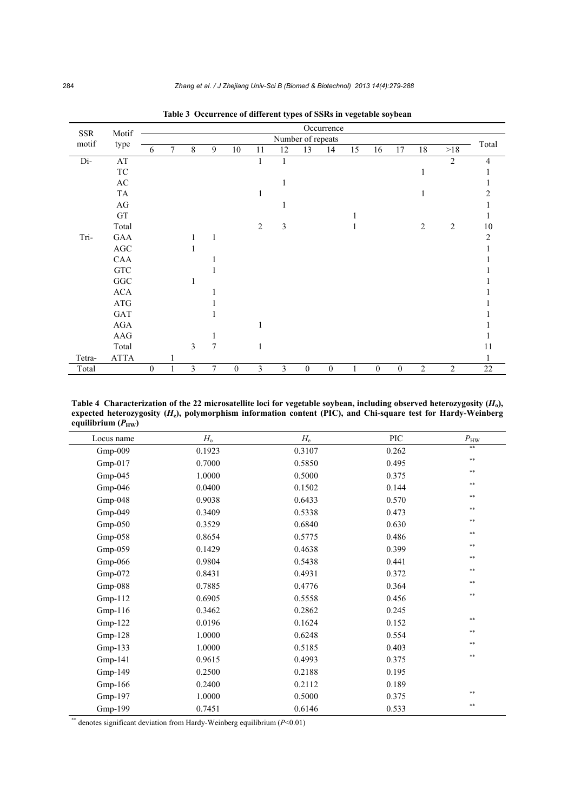| SSR    | Motif                  |                   |              |   |        |                  |                |                |                  | Occurrence       |    |                  |                  |                |                |                |
|--------|------------------------|-------------------|--------------|---|--------|------------------|----------------|----------------|------------------|------------------|----|------------------|------------------|----------------|----------------|----------------|
| motif  | type                   | Number of repeats |              |   |        |                  |                |                |                  |                  |    | Total            |                  |                |                |                |
|        |                        | 6                 | 7            | 8 | 9      | 10               | 11             | 12             | 13               | 14               | 15 | 16               | 17               | 18             | >18            |                |
| $Di-$  | AT                     |                   |              |   |        |                  | $\mathbf{1}$   | $\mathbf{1}$   |                  |                  |    |                  |                  |                | $\overline{2}$ | $\overline{4}$ |
|        | ${\rm TC}$             |                   |              |   |        |                  |                |                |                  |                  |    |                  |                  |                |                |                |
|        | $\mathbf{A}\mathbf{C}$ |                   |              |   |        |                  |                |                |                  |                  |    |                  |                  |                |                |                |
|        | TA                     |                   |              |   |        |                  |                |                |                  |                  |    |                  |                  |                |                |                |
|        | $\rm{AG}$              |                   |              |   |        |                  |                |                |                  |                  |    |                  |                  |                |                |                |
|        | ${\rm GT}$             |                   |              |   |        |                  |                |                |                  |                  |    |                  |                  |                |                |                |
|        | Total                  |                   |              |   |        |                  | 2              | $\mathfrak{Z}$ |                  |                  |    |                  |                  | $\overline{2}$ | $\overline{2}$ | 10             |
| Tri-   | GAA                    |                   |              |   |        |                  |                |                |                  |                  |    |                  |                  |                |                | 2              |
|        | $\rm{AGC}$             |                   |              |   |        |                  |                |                |                  |                  |    |                  |                  |                |                |                |
|        | CAA                    |                   |              |   |        |                  |                |                |                  |                  |    |                  |                  |                |                |                |
|        | ${\rm GTC}$            |                   |              |   |        |                  |                |                |                  |                  |    |                  |                  |                |                |                |
|        | $_{\rm GGC}$           |                   |              |   |        |                  |                |                |                  |                  |    |                  |                  |                |                |                |
|        | $\rm{ACA}$             |                   |              |   |        |                  |                |                |                  |                  |    |                  |                  |                |                |                |
|        | ATG                    |                   |              |   |        |                  |                |                |                  |                  |    |                  |                  |                |                |                |
|        | GAT                    |                   |              |   |        |                  |                |                |                  |                  |    |                  |                  |                |                |                |
|        | $\rm{AGA}$             |                   |              |   |        |                  | 1              |                |                  |                  |    |                  |                  |                |                |                |
|        | AAG                    |                   |              |   |        |                  |                |                |                  |                  |    |                  |                  |                |                |                |
|        | Total                  |                   |              | 3 | 7      |                  |                |                |                  |                  |    |                  |                  |                |                | 11             |
| Tetra- | <b>ATTA</b>            |                   |              |   |        |                  |                |                |                  |                  |    |                  |                  |                |                |                |
| Total  |                        | $\boldsymbol{0}$  | $\mathbf{I}$ | 3 | $\tau$ | $\boldsymbol{0}$ | $\mathfrak{Z}$ | $\mathfrak{Z}$ | $\boldsymbol{0}$ | $\boldsymbol{0}$ | 1  | $\boldsymbol{0}$ | $\boldsymbol{0}$ | $\overline{c}$ | $\overline{2}$ | $22\,$         |

| Table 3 Occurrence of different types of SSRs in vegetable soybean |  |  |
|--------------------------------------------------------------------|--|--|
|                                                                    |  |  |

**Table 4 Characterization of the 22 microsatellite loci for vegetable soybean, including observed heterozygosity (***H***o), expected heterozygosity (***H***e), polymorphism information content (PIC), and Chi-square test for Hardy-Weinberg**   $\mathbf{eq}$ **uilibrium**  $(P_{\text{HW}})$ 

| Locus name | $H_{o}$ | $H_{\rm e}$ | PIC   | $P_{\rm HW}$ |
|------------|---------|-------------|-------|--------------|
| Gmp-009    | 0.1923  | 0.3107      | 0.262 | **           |
| Gmp-017    | 0.7000  | 0.5850      | 0.495 | $\ast\ast$   |
| Gmp-045    | 1.0000  | 0.5000      | 0.375 | $\ast\ast$   |
| Gmp-046    | 0.0400  | 0.1502      | 0.144 | $\ast\ast$   |
| Gmp-048    | 0.9038  | 0.6433      | 0.570 | $\ast\ast$   |
| Gmp-049    | 0.3409  | 0.5338      | 0.473 | $\ast\ast$   |
| Gmp-050    | 0.3529  | 0.6840      | 0.630 | $\ast\ast$   |
| Gmp-058    | 0.8654  | 0.5775      | 0.486 | **           |
| Gmp-059    | 0.1429  | 0.4638      | 0.399 | **           |
| Gmp-066    | 0.9804  | 0.5438      | 0.441 | **           |
| Gmp-072    | 0.8431  | 0.4931      | 0.372 | $\ast\ast$   |
| Gmp-088    | 0.7885  | 0.4776      | 0.364 | $\ast\ast$   |
| Gmp-112    | 0.6905  | 0.5558      | 0.456 | $\ast\ast$   |
| Gmp-116    | 0.3462  | 0.2862      | 0.245 |              |
| Gmp-122    | 0.0196  | 0.1624      | 0.152 | $\ast\ast$   |
| Gmp-128    | 1.0000  | 0.6248      | 0.554 | **           |
| Gmp-133    | 1.0000  | 0.5185      | 0.403 | $\ast\ast$   |
| Gmp-141    | 0.9615  | 0.4993      | 0.375 | **           |
| Gmp-149    | 0.2500  | 0.2188      | 0.195 |              |
| Gmp-166    | 0.2400  | 0.2112      | 0.189 |              |
| Gmp-197    | 1.0000  | 0.5000      | 0.375 | **           |
| Gmp-199    | 0.7451  | 0.6146      | 0.533 | **           |

\*\* denotes significant deviation from Hardy-Weinberg equilibrium (*P*<0.01)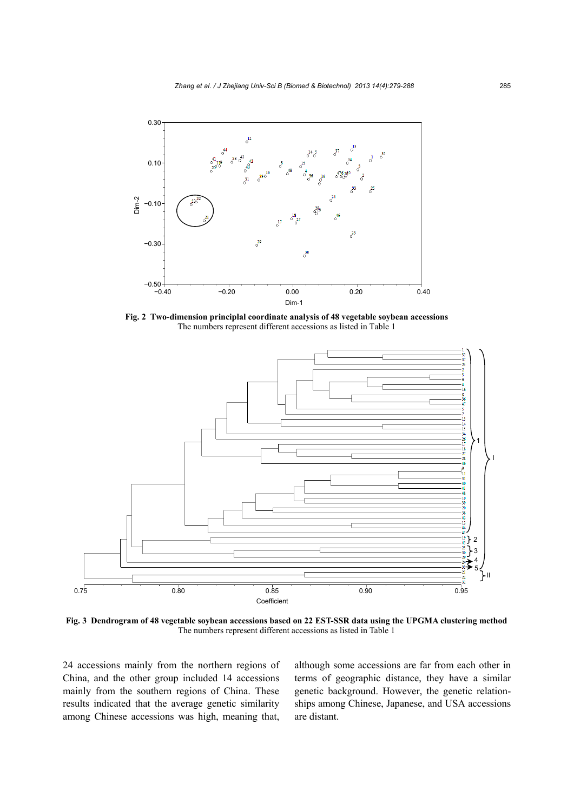

**Fig. 2 Two-dimension principlal coordinate analysis of 48 vegetable soybean accessions**  The numbers represent different accessions as listed in Table 1



**Fig. 3 Dendrogram of 48 vegetable soybean accessions based on 22 EST-SSR data using the UPGMA clustering method**  The numbers represent different accessions as listed in Table 1

24 accessions mainly from the northern regions of China, and the other group included 14 accessions mainly from the southern regions of China. These results indicated that the average genetic similarity among Chinese accessions was high, meaning that, although some accessions are far from each other in terms of geographic distance, they have a similar genetic background. However, the genetic relationships among Chinese, Japanese, and USA accessions are distant.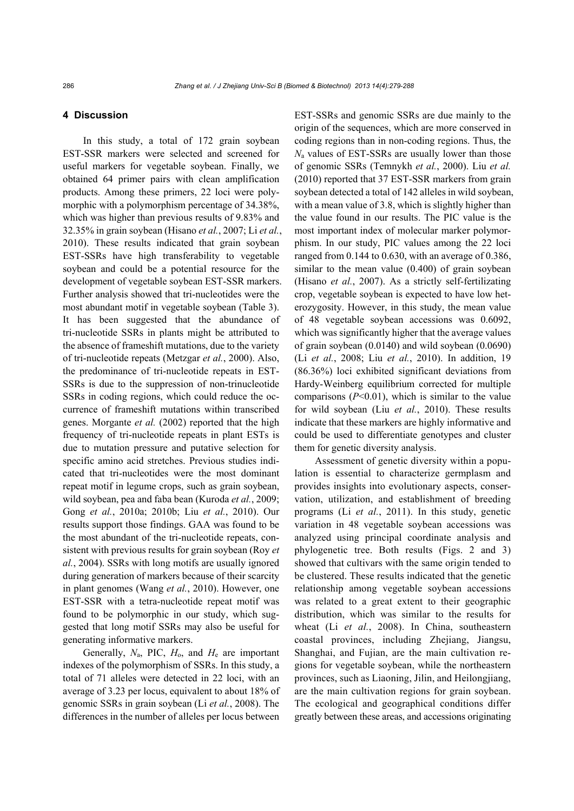## **4 Discussion**

In this study, a total of 172 grain soybean EST-SSR markers were selected and screened for useful markers for vegetable soybean. Finally, we obtained 64 primer pairs with clean amplification products. Among these primers, 22 loci were polymorphic with a polymorphism percentage of 34.38%, which was higher than previous results of 9.83% and 32.35% in grain soybean (Hisano *et al.*, 2007; Li *et al.*, 2010). These results indicated that grain soybean EST-SSRs have high transferability to vegetable soybean and could be a potential resource for the development of vegetable soybean EST-SSR markers. Further analysis showed that tri-nucleotides were the most abundant motif in vegetable soybean (Table 3). It has been suggested that the abundance of tri-nucleotide SSRs in plants might be attributed to the absence of frameshift mutations, due to the variety of tri-nucleotide repeats (Metzgar *et al.*, 2000). Also, the predominance of tri-nucleotide repeats in EST-SSRs is due to the suppression of non-trinucleotide SSRs in coding regions, which could reduce the occurrence of frameshift mutations within transcribed genes. Morgante *et al.* (2002) reported that the high frequency of tri-nucleotide repeats in plant ESTs is due to mutation pressure and putative selection for specific amino acid stretches. Previous studies indicated that tri-nucleotides were the most dominant repeat motif in legume crops, such as grain soybean, wild soybean, pea and faba bean (Kuroda *et al.*, 2009; Gong *et al.*, 2010a; 2010b; Liu *et al.*, 2010). Our results support those findings. GAA was found to be the most abundant of the tri-nucleotide repeats, consistent with previous results for grain soybean (Roy *et al.*, 2004). SSRs with long motifs are usually ignored during generation of markers because of their scarcity in plant genomes (Wang *et al.*, 2010). However, one EST-SSR with a tetra-nucleotide repeat motif was found to be polymorphic in our study, which suggested that long motif SSRs may also be useful for generating informative markers.

Generally,  $N_a$ , PIC,  $H_0$ , and  $H_e$  are important indexes of the polymorphism of SSRs. In this study, a total of 71 alleles were detected in 22 loci, with an average of 3.23 per locus, equivalent to about 18% of genomic SSRs in grain soybean (Li *et al.*, 2008). The differences in the number of alleles per locus between

EST-SSRs and genomic SSRs are due mainly to the origin of the sequences, which are more conserved in coding regions than in non-coding regions. Thus, the *N*a values of EST-SSRs are usually lower than those of genomic SSRs (Temnykh *et al.*, 2000). Liu *et al.* (2010) reported that 37 EST-SSR markers from grain soybean detected a total of 142 alleles in wild soybean, with a mean value of 3.8, which is slightly higher than the value found in our results. The PIC value is the most important index of molecular marker polymorphism. In our study, PIC values among the 22 loci ranged from 0.144 to 0.630, with an average of 0.386, similar to the mean value (0.400) of grain soybean (Hisano *et al.*, 2007). As a strictly self-fertilizating crop, vegetable soybean is expected to have low heterozygosity. However, in this study, the mean value of 48 vegetable soybean accessions was 0.6092, which was significantly higher that the average values of grain soybean (0.0140) and wild soybean (0.0690) (Li *et al.*, 2008; Liu *et al.*, 2010). In addition, 19 (86.36%) loci exhibited significant deviations from Hardy-Weinberg equilibrium corrected for multiple comparisons  $(P<0.01)$ , which is similar to the value for wild soybean (Liu *et al.*, 2010). These results indicate that these markers are highly informative and could be used to differentiate genotypes and cluster them for genetic diversity analysis.

Assessment of genetic diversity within a population is essential to characterize germplasm and provides insights into evolutionary aspects, conservation, utilization, and establishment of breeding programs (Li *et al.*, 2011). In this study, genetic variation in 48 vegetable soybean accessions was analyzed using principal coordinate analysis and phylogenetic tree. Both results (Figs. 2 and 3) showed that cultivars with the same origin tended to be clustered. These results indicated that the genetic relationship among vegetable soybean accessions was related to a great extent to their geographic distribution, which was similar to the results for wheat (Li *et al.*, 2008). In China, southeastern coastal provinces, including Zhejiang, Jiangsu, Shanghai, and Fujian, are the main cultivation regions for vegetable soybean, while the northeastern provinces, such as Liaoning, Jilin, and Heilongjiang, are the main cultivation regions for grain soybean. The ecological and geographical conditions differ greatly between these areas, and accessions originating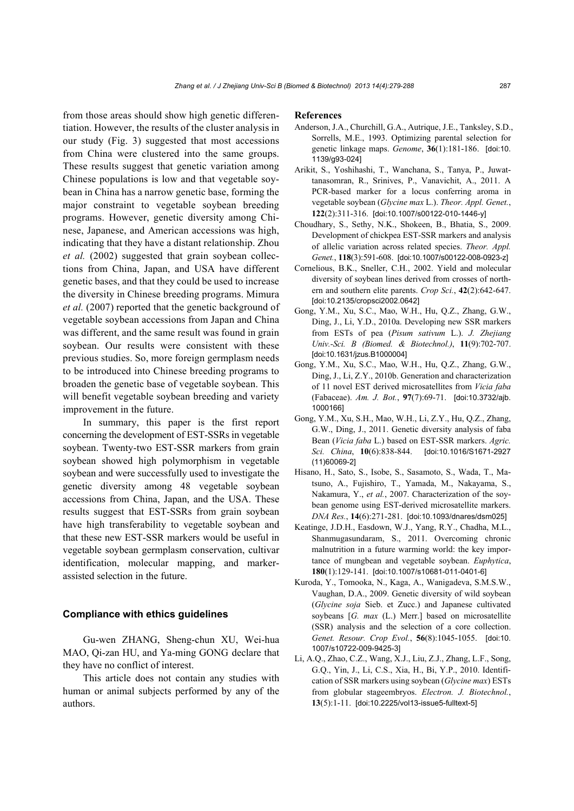from those areas should show high genetic differentiation. However, the results of the cluster analysis in our study (Fig. 3) suggested that most accessions from China were clustered into the same groups. These results suggest that genetic variation among Chinese populations is low and that vegetable soybean in China has a narrow genetic base, forming the major constraint to vegetable soybean breeding programs. However, genetic diversity among Chinese, Japanese, and American accessions was high, indicating that they have a distant relationship. Zhou *et al.* (2002) suggested that grain soybean collections from China, Japan, and USA have different genetic bases, and that they could be used to increase the diversity in Chinese breeding programs. Mimura *et al.* (2007) reported that the genetic background of vegetable soybean accessions from Japan and China was different, and the same result was found in grain soybean. Our results were consistent with these previous studies. So, more foreign germplasm needs to be introduced into Chinese breeding programs to broaden the genetic base of vegetable soybean. This will benefit vegetable soybean breeding and variety improvement in the future.

In summary, this paper is the first report concerning the development of EST-SSRs in vegetable soybean. Twenty-two EST-SSR markers from grain soybean showed high polymorphism in vegetable soybean and were successfully used to investigate the genetic diversity among 48 vegetable soybean accessions from China, Japan, and the USA. These results suggest that EST-SSRs from grain soybean have high transferability to vegetable soybean and that these new EST-SSR markers would be useful in vegetable soybean germplasm conservation, cultivar identification, molecular mapping, and markerassisted selection in the future.

#### **Compliance with ethics guidelines**

Gu-wen ZHANG, Sheng-chun XU, Wei-hua MAO, Qi-zan HU, and Ya-ming GONG declare that they have no conflict of interest.

This article does not contain any studies with human or animal subjects performed by any of the authors.

#### **References**

- Anderson, J.A., Churchill, G.A., Autrique, J.E., Tanksley, S.D., Sorrells, M.E., 1993. Optimizing parental selection for genetic linkage maps. *Genome*, **36**(1):181-186. [doi:10. 1139/g93-024]
- Arikit, S., Yoshihashi, T., Wanchana, S., Tanya, P., Juwattanasomran, R., Srinives, P., Vanavichit, A., 2011. A PCR-based marker for a locus conferring aroma in vegetable soybean (*Glycine max* L.). *Theor. Appl. Genet.*, **122**(2):311-316. [doi:10.1007/s00122-010-1446-y]
- Choudhary, S., Sethy, N.K., Shokeen, B., Bhatia, S., 2009. Development of chickpea EST-SSR markers and analysis of allelic variation across related species. *Theor. Appl. Genet.*, **118**(3):591-608. [doi:10.1007/s00122-008-0923-z]
- Cornelious, B.K., Sneller, C.H., 2002. Yield and molecular diversity of soybean lines derived from crosses of northern and southern elite parents. *Crop Sci.*, **42**(2):642-647. [doi:10.2135/cropsci2002.0642]
- Gong, Y.M., Xu, S.C., Mao, W.H., Hu, Q.Z., Zhang, G.W., Ding, J., Li, Y.D., 2010a. Developing new SSR markers from ESTs of pea (*Pisum sativum* L.). *J. Zhejiang Univ.-Sci. B (Biomed. & Biotechnol.)*, **11**(9):702-707. [doi:10.1631/jzus.B1000004]
- Gong, Y.M., Xu, S.C., Mao, W.H., Hu, Q.Z., Zhang, G.W., Ding, J., Li, Z.Y., 2010b. Generation and characterization of 11 novel EST derived microsatellites from *Vicia faba* (Fabaceae). *Am. J. Bot.*, **97**(7):69-71. [doi:10.3732/ajb. 1000166]
- Gong, Y.M., Xu, S.H., Mao, W.H., Li, Z.Y., Hu, Q.Z., Zhang, G.W., Ding, J., 2011. Genetic diversity analysis of faba Bean (*Vicia faba* L.) based on EST-SSR markers. *Agric. Sci. China*, **10**(6):838-844. [doi:10.1016/S1671-2927 (11)60069-2]
- Hisano, H., Sato, S., Isobe, S., Sasamoto, S., Wada, T., Matsuno, A., Fujishiro, T., Yamada, M., Nakayama, S., Nakamura, Y., *et al.*, 2007. Characterization of the soybean genome using EST-derived microsatellite markers. *DNA Res.*, **14**(6):271-281. [doi:10.1093/dnares/dsm025]
- Keatinge, J.D.H., Easdown, W.J., Yang, R.Y., Chadha, M.L., Shanmugasundaram, S., 2011. Overcoming chronic malnutrition in a future warming world: the key importance of mungbean and vegetable soybean. *Euphytica*, **180**(1):129-141. [doi:10.1007/s10681-011-0401-6]
- Kuroda, Y., Tomooka, N., Kaga, A., Wanigadeva, S.M.S.W., Vaughan, D.A., 2009. Genetic diversity of wild soybean (*Glycine soja* Sieb. et Zucc.) and Japanese cultivated soybeans [*G. max* (L.) Merr.] based on microsatellite (SSR) analysis and the selection of a core collection. *Genet. Resour. Crop Evol.*, **56**(8):1045-1055. [doi:10. 1007/s10722-009-9425-3]
- Li, A.Q., Zhao, C.Z., Wang, X.J., Liu, Z.J., Zhang, L.F., Song, G.Q., Yin, J., Li, C.S., Xia, H., Bi, Y.P., 2010. Identification of SSR markers using soybean (*Glycine max*) ESTs from globular stageembryos. *Electron. J. Biotechnol.*, **13**(5):1-11. [doi:10.2225/vol13-issue5-fulltext-5]